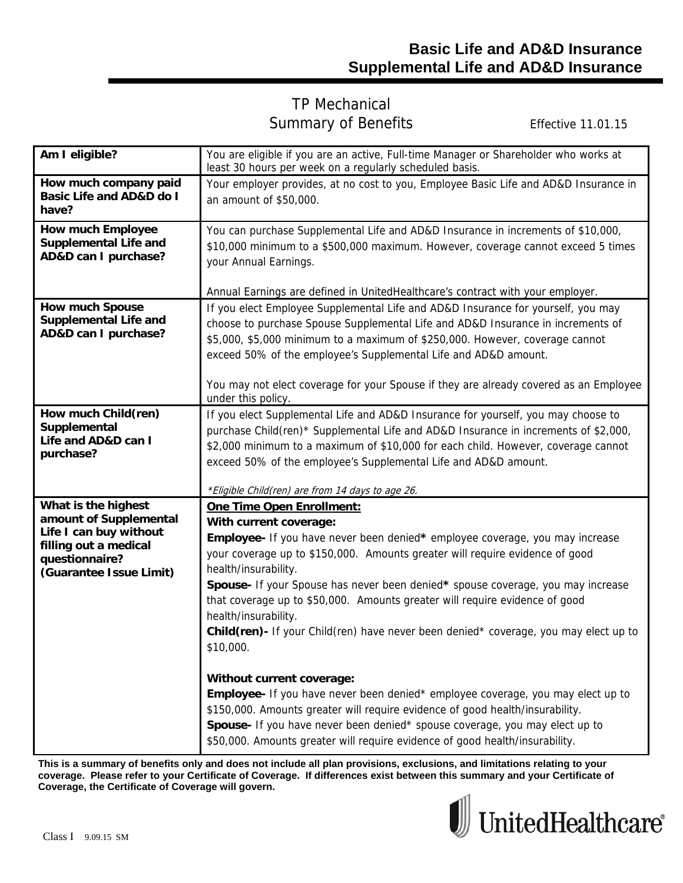## TP Mechanical Summary of Benefits Effective 11.01.15

| Am I eligible?                                                                                                                                | You are eligible if you are an active, Full-time Manager or Shareholder who works at<br>least 30 hours per week on a regularly scheduled basis.                                                                                                                                                                                                                                                                                                                                                                                                                                                                                                                                                                                                                                                                                                                                                            |  |  |
|-----------------------------------------------------------------------------------------------------------------------------------------------|------------------------------------------------------------------------------------------------------------------------------------------------------------------------------------------------------------------------------------------------------------------------------------------------------------------------------------------------------------------------------------------------------------------------------------------------------------------------------------------------------------------------------------------------------------------------------------------------------------------------------------------------------------------------------------------------------------------------------------------------------------------------------------------------------------------------------------------------------------------------------------------------------------|--|--|
| How much company paid<br><b>Basic Life and AD&amp;D do I</b><br>have?                                                                         | Your employer provides, at no cost to you, Employee Basic Life and AD&D Insurance in<br>an amount of \$50,000.                                                                                                                                                                                                                                                                                                                                                                                                                                                                                                                                                                                                                                                                                                                                                                                             |  |  |
| <b>How much Employee</b><br><b>Supplemental Life and</b><br>AD&D can I purchase?                                                              | You can purchase Supplemental Life and AD&D Insurance in increments of \$10,000,<br>\$10,000 minimum to a \$500,000 maximum. However, coverage cannot exceed 5 times<br>your Annual Earnings.                                                                                                                                                                                                                                                                                                                                                                                                                                                                                                                                                                                                                                                                                                              |  |  |
| <b>How much Spouse</b><br><b>Supplemental Life and</b><br>AD&D can I purchase?                                                                | Annual Earnings are defined in UnitedHealthcare's contract with your employer.<br>If you elect Employee Supplemental Life and AD&D Insurance for yourself, you may<br>choose to purchase Spouse Supplemental Life and AD&D Insurance in increments of<br>\$5,000, \$5,000 minimum to a maximum of \$250,000. However, coverage cannot<br>exceed 50% of the employee's Supplemental Life and AD&D amount.<br>You may not elect coverage for your Spouse if they are already covered as an Employee<br>under this policy.                                                                                                                                                                                                                                                                                                                                                                                    |  |  |
| How much Child(ren)<br>Supplemental<br>Life and AD&D can I<br>purchase?                                                                       | If you elect Supplemental Life and AD&D Insurance for yourself, you may choose to<br>purchase Child(ren)* Supplemental Life and AD&D Insurance in increments of \$2,000,<br>\$2,000 minimum to a maximum of \$10,000 for each child. However, coverage cannot<br>exceed 50% of the employee's Supplemental Life and AD&D amount.<br>*Eligible Child(ren) are from 14 days to age 26.                                                                                                                                                                                                                                                                                                                                                                                                                                                                                                                       |  |  |
| What is the highest<br>amount of Supplemental<br>Life I can buy without<br>filling out a medical<br>questionnaire?<br>(Guarantee Issue Limit) | One Time Open Enrollment:<br>With current coverage:<br>Employee- If you have never been denied* employee coverage, you may increase<br>your coverage up to \$150,000. Amounts greater will require evidence of good<br>health/insurability.<br>Spouse- If your Spouse has never been denied* spouse coverage, you may increase<br>that coverage up to \$50,000. Amounts greater will require evidence of good<br>health/insurability.<br>Child(ren)- If your Child(ren) have never been denied* coverage, you may elect up to<br>\$10,000.<br>Without current coverage:<br>Employee- If you have never been denied* employee coverage, you may elect up to<br>\$150,000. Amounts greater will require evidence of good health/insurability.<br>Spouse- If you have never been denied* spouse coverage, you may elect up to<br>\$50,000. Amounts greater will require evidence of good health/insurability. |  |  |

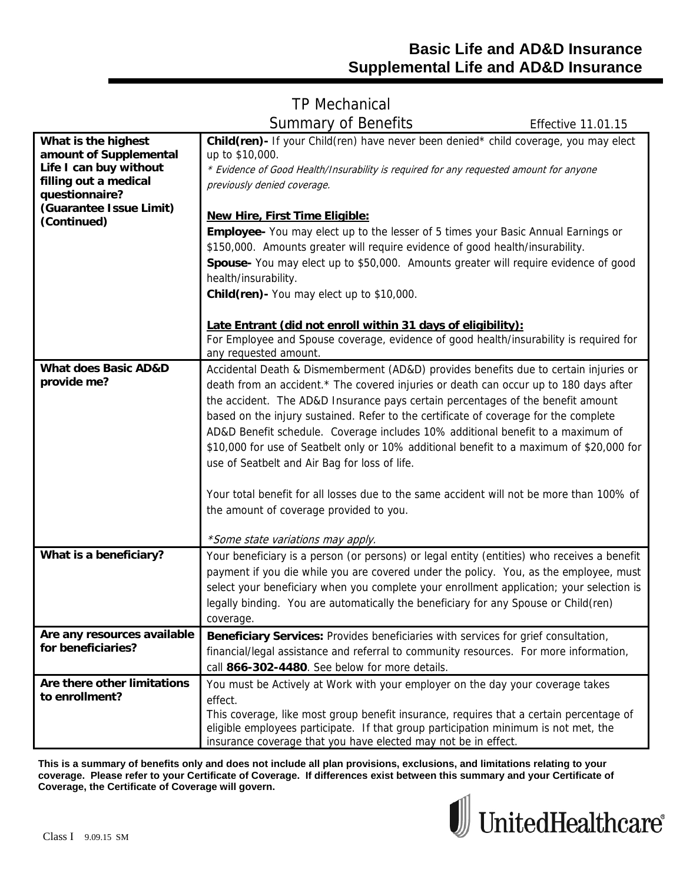# TP Mechanical Summary of Benefits Effective 11.01.15

| What is the highest<br>amount of Supplemental<br>Life I can buy without<br>filling out a medical<br>questionnaire?<br>(Guarantee Issue Limit)<br>(Continued) | <b>Child(ren)</b> If your Child(ren) have never been denied* child coverage, you may elect<br>up to \$10,000.<br>* Evidence of Good Health/Insurability is required for any requested amount for anyone<br>previously denied coverage.<br><b>New Hire, First Time Eligible:</b><br><b>Employee-</b> You may elect up to the lesser of 5 times your Basic Annual Earnings or<br>\$150,000. Amounts greater will require evidence of good health/insurability.<br>Spouse- You may elect up to \$50,000. Amounts greater will require evidence of good<br>health/insurability.<br>Child(ren) - You may elect up to \$10,000.                                                                                                       |
|--------------------------------------------------------------------------------------------------------------------------------------------------------------|---------------------------------------------------------------------------------------------------------------------------------------------------------------------------------------------------------------------------------------------------------------------------------------------------------------------------------------------------------------------------------------------------------------------------------------------------------------------------------------------------------------------------------------------------------------------------------------------------------------------------------------------------------------------------------------------------------------------------------|
|                                                                                                                                                              | Late Entrant (did not enroll within 31 days of eligibility):<br>For Employee and Spouse coverage, evidence of good health/insurability is required for<br>any requested amount.                                                                                                                                                                                                                                                                                                                                                                                                                                                                                                                                                 |
| <b>What does Basic AD&amp;D</b><br>provide me?                                                                                                               | Accidental Death & Dismemberment (AD&D) provides benefits due to certain injuries or<br>death from an accident.* The covered injuries or death can occur up to 180 days after<br>the accident. The AD&D Insurance pays certain percentages of the benefit amount<br>based on the injury sustained. Refer to the certificate of coverage for the complete<br>AD&D Benefit schedule. Coverage includes 10% additional benefit to a maximum of<br>\$10,000 for use of Seatbelt only or 10% additional benefit to a maximum of \$20,000 for<br>use of Seatbelt and Air Bag for loss of life.<br>Your total benefit for all losses due to the same accident will not be more than 100% of<br>the amount of coverage provided to you. |
| What is a beneficiary?                                                                                                                                       | *Some state variations may apply.<br>Your beneficiary is a person (or persons) or legal entity (entities) who receives a benefit<br>payment if you die while you are covered under the policy. You, as the employee, must<br>select your beneficiary when you complete your enrollment application; your selection is<br>legally binding. You are automatically the beneficiary for any Spouse or Child(ren)<br>coverage.                                                                                                                                                                                                                                                                                                       |
| Are any resources available<br>for beneficiaries?                                                                                                            | Beneficiary Services: Provides beneficiaries with services for grief consultation,<br>financial/legal assistance and referral to community resources. For more information,<br>call 866-302-4480. See below for more details.                                                                                                                                                                                                                                                                                                                                                                                                                                                                                                   |
| Are there other limitations<br>to enrollment?                                                                                                                | You must be Actively at Work with your employer on the day your coverage takes<br>effect.<br>This coverage, like most group benefit insurance, requires that a certain percentage of<br>eligible employees participate. If that group participation minimum is not met, the                                                                                                                                                                                                                                                                                                                                                                                                                                                     |

**This is a summary of benefits only and does not include all plan provisions, exclusions, and limitations relating to your coverage. Please refer to your Certificate of Coverage. If differences exist between this summary and your Certificate of Coverage, the Certificate of Coverage will govern.** 

insurance coverage that you have elected may not be in effect.

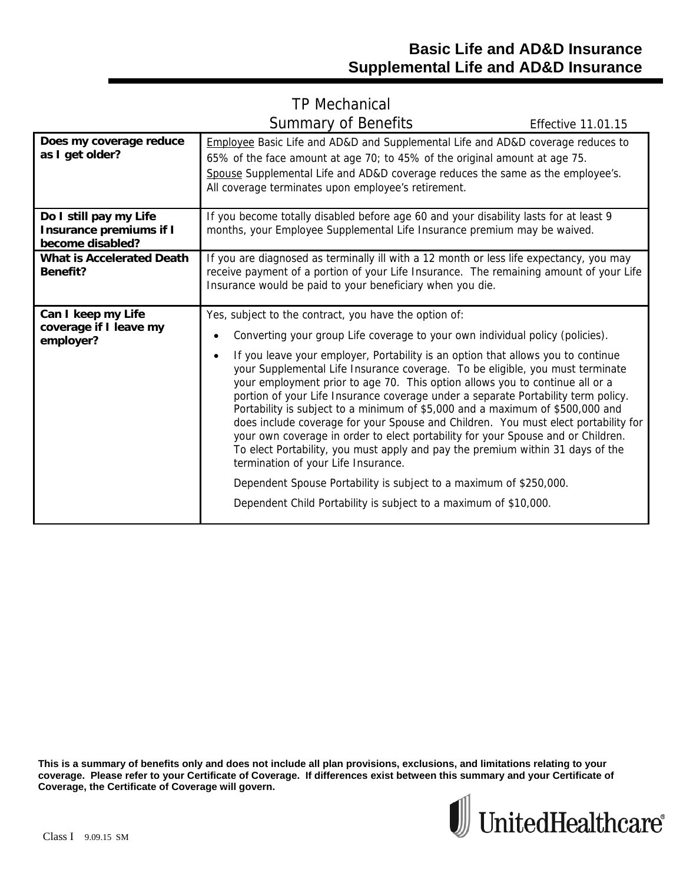## TP Mechanical Summary of Benefits Effective 11.01.15

| Does my coverage reduce<br>as I get older?                                   | Employee Basic Life and AD&D and Supplemental Life and AD&D coverage reduces to<br>65% of the face amount at age 70; to 45% of the original amount at age 75.<br>Spouse Supplemental Life and AD&D coverage reduces the same as the employee's.<br>All coverage terminates upon employee's retirement.                                                                                                                                                                                                                                                                                                                                                                                                                                                                                                                                                                                                                                                                                                         |  |  |  |
|------------------------------------------------------------------------------|----------------------------------------------------------------------------------------------------------------------------------------------------------------------------------------------------------------------------------------------------------------------------------------------------------------------------------------------------------------------------------------------------------------------------------------------------------------------------------------------------------------------------------------------------------------------------------------------------------------------------------------------------------------------------------------------------------------------------------------------------------------------------------------------------------------------------------------------------------------------------------------------------------------------------------------------------------------------------------------------------------------|--|--|--|
| Do I still pay my Life<br><b>Insurance premiums if I</b><br>become disabled? | If you become totally disabled before age 60 and your disability lasts for at least 9<br>months, your Employee Supplemental Life Insurance premium may be waived.                                                                                                                                                                                                                                                                                                                                                                                                                                                                                                                                                                                                                                                                                                                                                                                                                                              |  |  |  |
| <b>What is Accelerated Death</b><br>Benefit?                                 | If you are diagnosed as terminally ill with a 12 month or less life expectancy, you may<br>receive payment of a portion of your Life Insurance. The remaining amount of your Life<br>Insurance would be paid to your beneficiary when you die.                                                                                                                                                                                                                                                                                                                                                                                                                                                                                                                                                                                                                                                                                                                                                                 |  |  |  |
| Can I keep my Life<br>coverage if I leave my<br>employer?                    | Yes, subject to the contract, you have the option of:<br>Converting your group Life coverage to your own individual policy (policies).<br>If you leave your employer, Portability is an option that allows you to continue<br>your Supplemental Life Insurance coverage. To be eligible, you must terminate<br>your employment prior to age 70. This option allows you to continue all or a<br>portion of your Life Insurance coverage under a separate Portability term policy.<br>Portability is subject to a minimum of \$5,000 and a maximum of \$500,000 and<br>does include coverage for your Spouse and Children. You must elect portability for<br>your own coverage in order to elect portability for your Spouse and or Children.<br>To elect Portability, you must apply and pay the premium within 31 days of the<br>termination of your Life Insurance.<br>Dependent Spouse Portability is subject to a maximum of \$250,000.<br>Dependent Child Portability is subject to a maximum of \$10,000. |  |  |  |

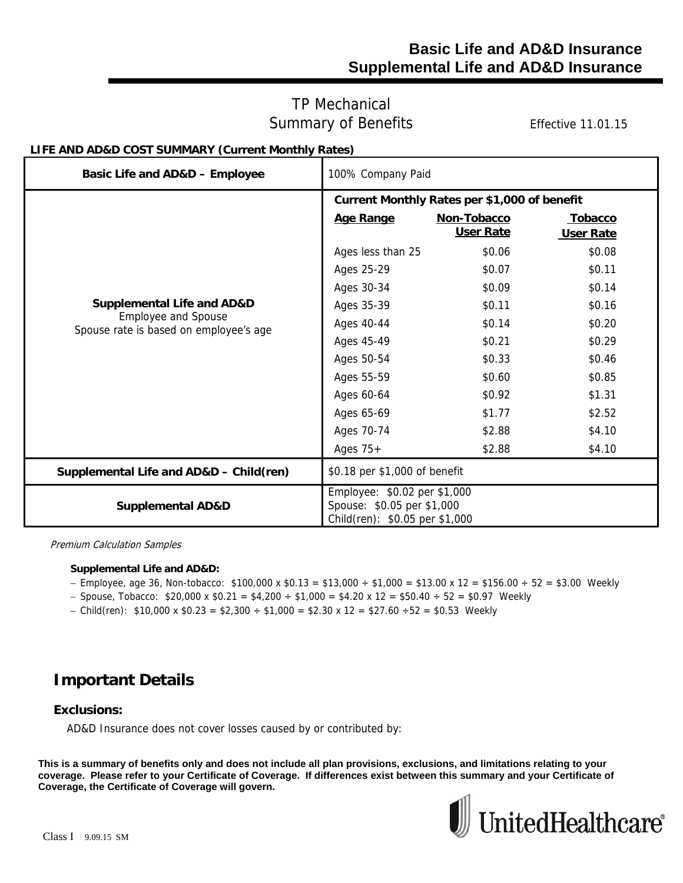### **Basic Life and AD&D Insurance Supplemental Life and AD&D Insurance**

### TP Mechanical Summary of Benefits Effective 11.01.15

### **LIFE AND AD&D COST SUMMARY (Current Monthly Rates)**

| Basic Life and AD&D - Employee                                       | 100% Company Paid                                                                            |                  |                |
|----------------------------------------------------------------------|----------------------------------------------------------------------------------------------|------------------|----------------|
|                                                                      | Current Monthly Rates per \$1,000 of benefit                                                 |                  |                |
|                                                                      | Age Range                                                                                    | Non-Tobacco      | <b>Tobacco</b> |
|                                                                      |                                                                                              | <b>User Rate</b> | User Rate      |
|                                                                      | Ages less than 25                                                                            | \$0.06           | \$0.08         |
|                                                                      | Ages 25-29                                                                                   | \$0.07           | \$0.11         |
|                                                                      | Ages 30-34                                                                                   | \$0.09           | \$0.14         |
| <b>Supplemental Life and AD&amp;D</b>                                | Ages 35-39                                                                                   | \$0.11           | \$0.16         |
| <b>Employee and Spouse</b><br>Spouse rate is based on employee's age | Ages 40-44                                                                                   | \$0.14           | \$0.20         |
|                                                                      | Ages 45-49                                                                                   | \$0.21           | \$0.29         |
|                                                                      | Ages 50-54                                                                                   | \$0.33           | \$0.46         |
|                                                                      | Ages 55-59                                                                                   | \$0.60           | \$0.85         |
|                                                                      | Ages 60-64                                                                                   | \$0.92           | \$1.31         |
|                                                                      | Ages 65-69                                                                                   | \$1.77           | \$2.52         |
|                                                                      | Ages 70-74                                                                                   | \$2.88           | \$4.10         |
|                                                                      | Ages $75+$                                                                                   | \$2.88           | \$4.10         |
| Supplemental Life and AD&D - Child(ren)                              | \$0.18 per \$1,000 of benefit                                                                |                  |                |
| <b>Supplemental AD&amp;D</b>                                         | Employee: \$0.02 per \$1,000<br>Spouse: \$0.05 per \$1,000<br>Child(ren): \$0.05 per \$1,000 |                  |                |

Premium Calculation Samples

#### **Supplemental Life and AD&D:**

- $-$  Employee, age 36, Non-tobacco: \$100,000 x \$0.13 = \$13,000 ÷ \$1,000 = \$13.00 x 12 = \$156.00 ÷ 52 = \$3.00 Weekly
- $-$  Spouse, Tobacco: \$20,000 x \$0.21 = \$4,200  $\div$  \$1,000 = \$4.20 x 12 = \$50.40  $\div$  52 = \$0.97 Weekly
- Child(ren):  $$10,000 \times $0.23 = $2,300 \div $1,000 = $2.30 \times 12 = $27.60 \div 52 = $0.53$  Weekly

## **Important Details**

#### **Exclusions:**

AD&D Insurance does not cover losses caused by or contributed by: